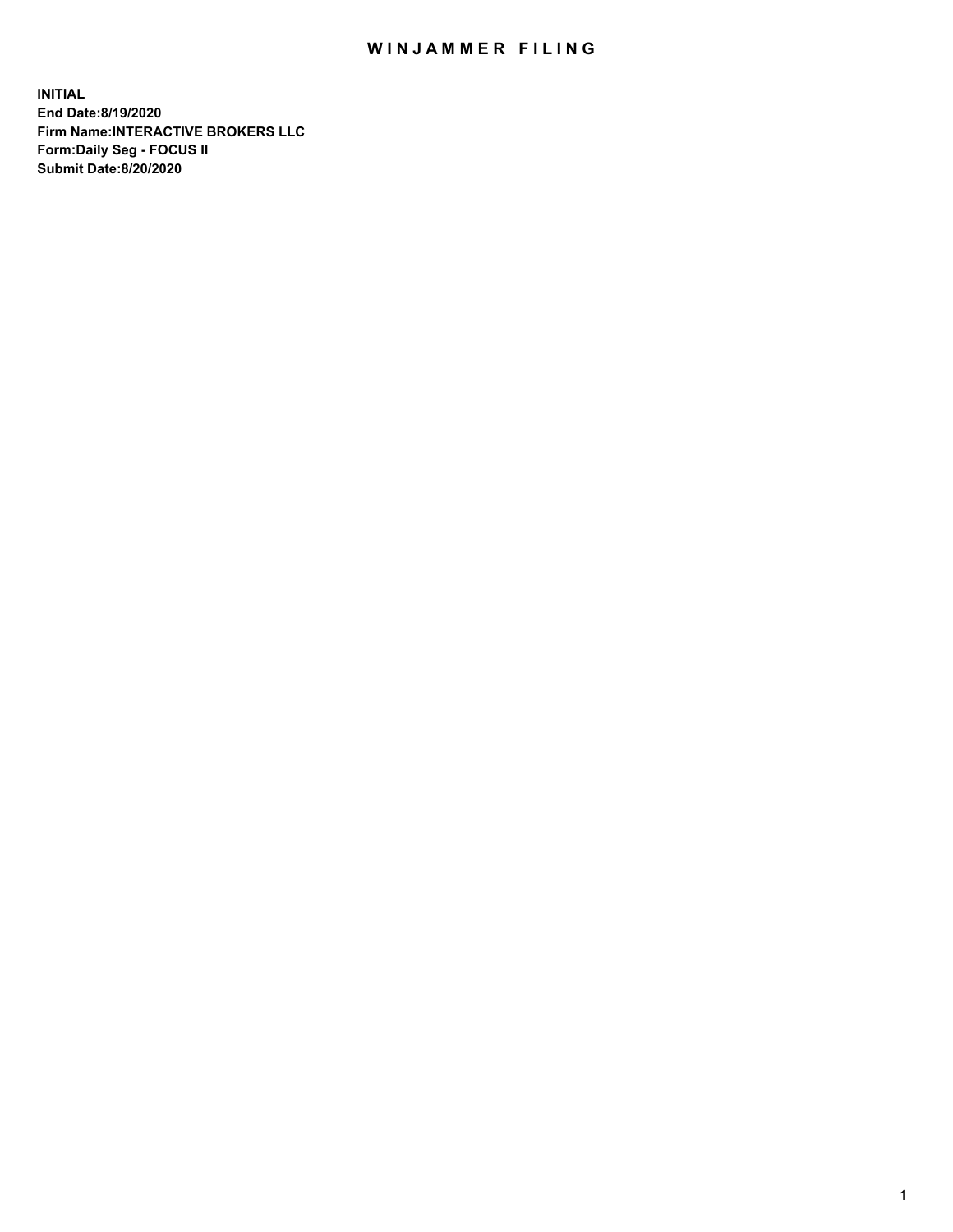## WIN JAMMER FILING

**INITIAL End Date:8/19/2020 Firm Name:INTERACTIVE BROKERS LLC Form:Daily Seg - FOCUS II Submit Date:8/20/2020**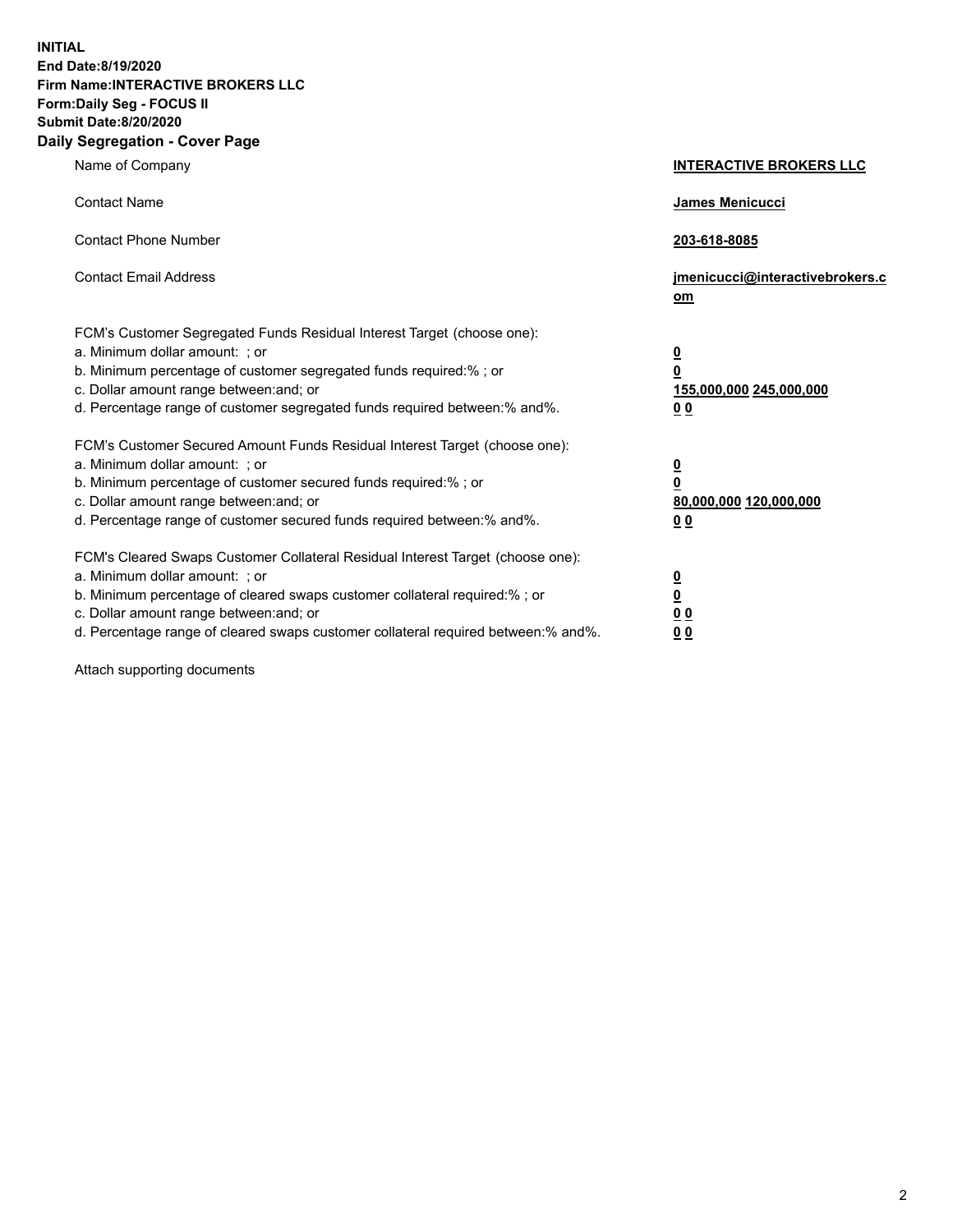**INITIAL End Date:8/19/2020 Firm Name:INTERACTIVE BROKERS LLC Form:Daily Seg - FOCUS II Submit Date:8/20/2020 Daily Segregation - Cover Page**

| Name of Company                                                                                                                                                                                                                                                                                                               | <b>INTERACTIVE BROKERS LLC</b>                                                   |
|-------------------------------------------------------------------------------------------------------------------------------------------------------------------------------------------------------------------------------------------------------------------------------------------------------------------------------|----------------------------------------------------------------------------------|
| <b>Contact Name</b>                                                                                                                                                                                                                                                                                                           | James Menicucci                                                                  |
| <b>Contact Phone Number</b>                                                                                                                                                                                                                                                                                                   | 203-618-8085                                                                     |
| <b>Contact Email Address</b>                                                                                                                                                                                                                                                                                                  | jmenicucci@interactivebrokers.c<br>om                                            |
| FCM's Customer Segregated Funds Residual Interest Target (choose one):<br>a. Minimum dollar amount: ; or<br>b. Minimum percentage of customer segregated funds required:% ; or<br>c. Dollar amount range between: and; or<br>d. Percentage range of customer segregated funds required between:% and%.                        | <u>0</u><br>$\overline{\mathbf{0}}$<br>155,000,000 245,000,000<br>0 <sub>0</sub> |
| FCM's Customer Secured Amount Funds Residual Interest Target (choose one):<br>a. Minimum dollar amount: ; or<br>b. Minimum percentage of customer secured funds required:%; or<br>c. Dollar amount range between: and; or<br>d. Percentage range of customer secured funds required between:% and%.                           | <u>0</u><br>$\overline{\mathbf{0}}$<br>80,000,000 120,000,000<br>0 <sub>0</sub>  |
| FCM's Cleared Swaps Customer Collateral Residual Interest Target (choose one):<br>a. Minimum dollar amount: ; or<br>b. Minimum percentage of cleared swaps customer collateral required:%; or<br>c. Dollar amount range between: and; or<br>d. Percentage range of cleared swaps customer collateral required between:% and%. | <u>0</u><br>$\underline{\mathbf{0}}$<br>0 <sub>0</sub><br>0 <sub>0</sub>         |

Attach supporting documents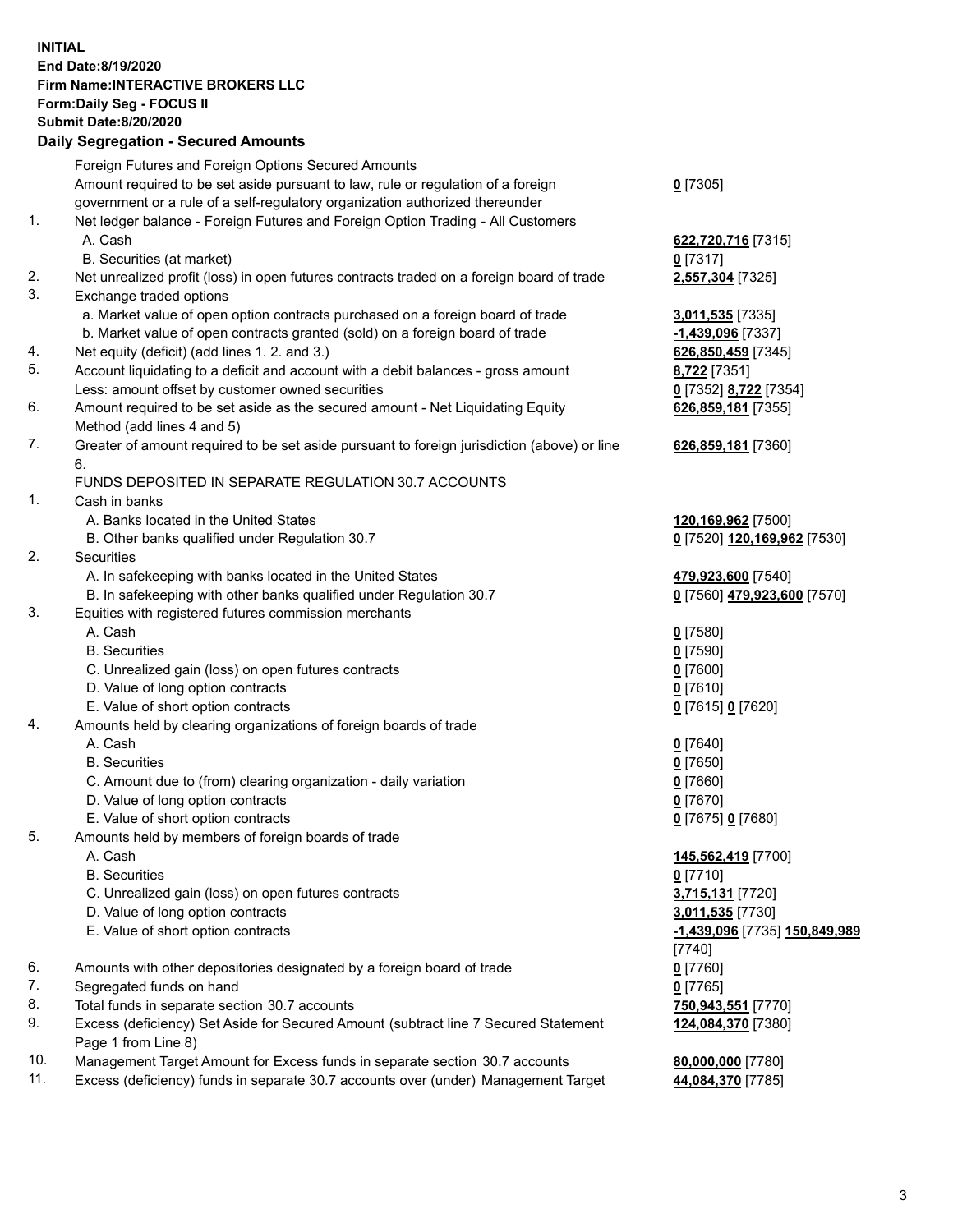**INITIAL End Date:8/19/2020 Firm Name:INTERACTIVE BROKERS LLC Form:Daily Seg - FOCUS II Submit Date:8/20/2020 Daily Segregation - Secured Amounts**

|     | Daily Segregation - Secured Amounts                                                         |                               |
|-----|---------------------------------------------------------------------------------------------|-------------------------------|
|     | Foreign Futures and Foreign Options Secured Amounts                                         |                               |
|     | Amount required to be set aside pursuant to law, rule or regulation of a foreign            | $0$ [7305]                    |
|     | government or a rule of a self-regulatory organization authorized thereunder                |                               |
| 1.  | Net ledger balance - Foreign Futures and Foreign Option Trading - All Customers             |                               |
|     | A. Cash                                                                                     | 622,720,716 [7315]            |
|     | B. Securities (at market)                                                                   | $0$ [7317]                    |
| 2.  | Net unrealized profit (loss) in open futures contracts traded on a foreign board of trade   | 2,557,304 [7325]              |
| 3.  | Exchange traded options                                                                     |                               |
|     | a. Market value of open option contracts purchased on a foreign board of trade              | 3,011,535 [7335]              |
|     | b. Market value of open contracts granted (sold) on a foreign board of trade                | -1,439,096 [7337]             |
| 4.  | Net equity (deficit) (add lines 1. 2. and 3.)                                               | 626,850,459 [7345]            |
| 5.  | Account liquidating to a deficit and account with a debit balances - gross amount           | 8,722 [7351]                  |
|     | Less: amount offset by customer owned securities                                            | 0 [7352] 8,722 [7354]         |
| 6.  | Amount required to be set aside as the secured amount - Net Liquidating Equity              | 626,859,181 [7355]            |
|     | Method (add lines 4 and 5)                                                                  |                               |
| 7.  | Greater of amount required to be set aside pursuant to foreign jurisdiction (above) or line | 626,859,181 [7360]            |
|     | 6.                                                                                          |                               |
|     | FUNDS DEPOSITED IN SEPARATE REGULATION 30.7 ACCOUNTS                                        |                               |
| 1.  | Cash in banks                                                                               |                               |
|     | A. Banks located in the United States                                                       | 120,169,962 [7500]            |
|     | B. Other banks qualified under Regulation 30.7                                              | 0 [7520] 120,169,962 [7530]   |
| 2.  | <b>Securities</b>                                                                           |                               |
|     | A. In safekeeping with banks located in the United States                                   | 479,923,600 [7540]            |
|     | B. In safekeeping with other banks qualified under Regulation 30.7                          | 0 [7560] 479,923,600 [7570]   |
| 3.  | Equities with registered futures commission merchants                                       |                               |
|     | A. Cash                                                                                     | $0$ [7580]                    |
|     | <b>B.</b> Securities                                                                        | $0$ [7590]                    |
|     | C. Unrealized gain (loss) on open futures contracts                                         | $0$ [7600]                    |
|     | D. Value of long option contracts                                                           | $0$ [7610]                    |
|     | E. Value of short option contracts                                                          | 0 [7615] 0 [7620]             |
| 4.  | Amounts held by clearing organizations of foreign boards of trade                           |                               |
|     | A. Cash                                                                                     | $0$ [7640]                    |
|     | <b>B.</b> Securities                                                                        | $0$ [7650]                    |
|     | C. Amount due to (from) clearing organization - daily variation                             | $0$ [7660]                    |
|     | D. Value of long option contracts                                                           | $0$ [7670]                    |
|     | E. Value of short option contracts                                                          | 0 [7675] 0 [7680]             |
| 5   | Amounts held by members of foreign boards of trade                                          |                               |
|     | A. Cash                                                                                     | 145,562,419 [7700]            |
|     | <b>B.</b> Securities                                                                        | $0$ [7710]                    |
|     | C. Unrealized gain (loss) on open futures contracts                                         | 3,715,131 [7720]              |
|     | D. Value of long option contracts                                                           | 3,011,535 [7730]              |
|     | E. Value of short option contracts                                                          | -1,439,096 [7735] 150,849,989 |
|     |                                                                                             | [7740]                        |
| 6.  | Amounts with other depositories designated by a foreign board of trade                      | $0$ [7760]                    |
| 7.  | Segregated funds on hand                                                                    | $0$ [7765]                    |
| 8.  | Total funds in separate section 30.7 accounts                                               | 750,943,551 [7770]            |
| 9.  | Excess (deficiency) Set Aside for Secured Amount (subtract line 7 Secured Statement         | 124,084,370 [7380]            |
|     | Page 1 from Line 8)                                                                         |                               |
| 10. | Management Target Amount for Excess funds in separate section 30.7 accounts                 | 80,000,000 [7780]             |
| 11. | Excess (deficiency) funds in separate 30.7 accounts over (under) Management Target          | 44,084,370 [7785]             |
|     |                                                                                             |                               |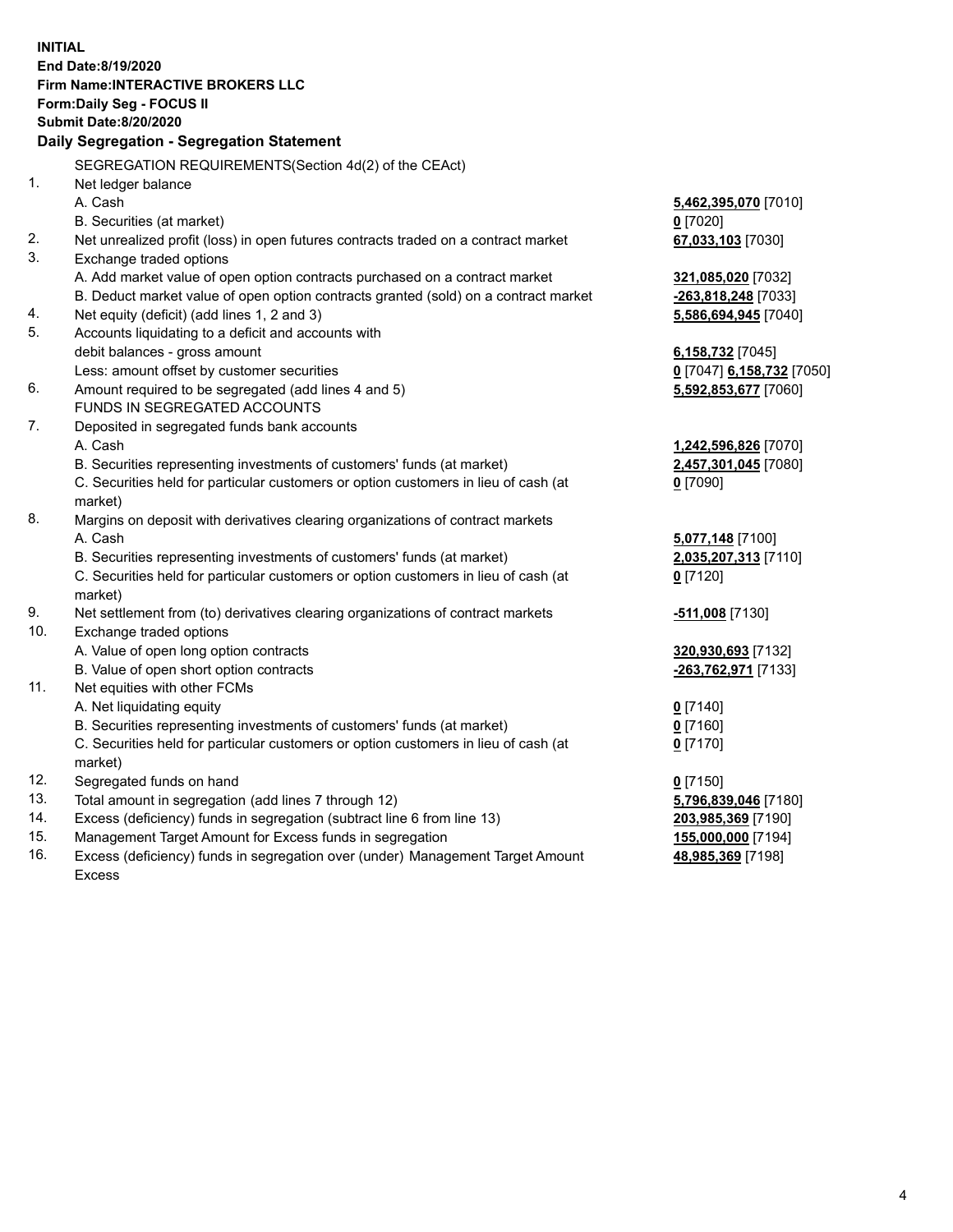**INITIAL End Date:8/19/2020 Firm Name:INTERACTIVE BROKERS LLC Form:Daily Seg - FOCUS II Submit Date:8/20/2020 Daily Segregation - Segregation Statement** SEGREGATION REQUIREMENTS(Section 4d(2) of the CEAct) 1. Net ledger balance A. Cash **5,462,395,070** [7010] B. Securities (at market) **0** [7020] 2. Net unrealized profit (loss) in open futures contracts traded on a contract market **67,033,103** [7030] 3. Exchange traded options A. Add market value of open option contracts purchased on a contract market **321,085,020** [7032] B. Deduct market value of open option contracts granted (sold) on a contract market **-263,818,248** [7033] 4. Net equity (deficit) (add lines 1, 2 and 3) **5,586,694,945** [7040] 5. Accounts liquidating to a deficit and accounts with debit balances - gross amount **6,158,732** [7045] Less: amount offset by customer securities **0** [7047] **6,158,732** [7050] 6. Amount required to be segregated (add lines 4 and 5) **5,592,853,677** [7060] FUNDS IN SEGREGATED ACCOUNTS 7. Deposited in segregated funds bank accounts A. Cash **1,242,596,826** [7070] B. Securities representing investments of customers' funds (at market) **2,457,301,045** [7080] C. Securities held for particular customers or option customers in lieu of cash (at market) **0** [7090] 8. Margins on deposit with derivatives clearing organizations of contract markets A. Cash **5,077,148** [7100] B. Securities representing investments of customers' funds (at market) **2,035,207,313** [7110] C. Securities held for particular customers or option customers in lieu of cash (at market) **0** [7120] 9. Net settlement from (to) derivatives clearing organizations of contract markets **-511,008** [7130] 10. Exchange traded options A. Value of open long option contracts **320,930,693** [7132] B. Value of open short option contracts **-263,762,971** [7133] 11. Net equities with other FCMs A. Net liquidating equity **0** [7140] B. Securities representing investments of customers' funds (at market) **0** [7160] C. Securities held for particular customers or option customers in lieu of cash (at market) **0** [7170] 12. Segregated funds on hand **0** [7150] 13. Total amount in segregation (add lines 7 through 12) **5,796,839,046** [7180] 14. Excess (deficiency) funds in segregation (subtract line 6 from line 13) **203,985,369** [7190] 15. Management Target Amount for Excess funds in segregation **155,000,000** [7194] **48,985,369** [7198]

16. Excess (deficiency) funds in segregation over (under) Management Target Amount Excess